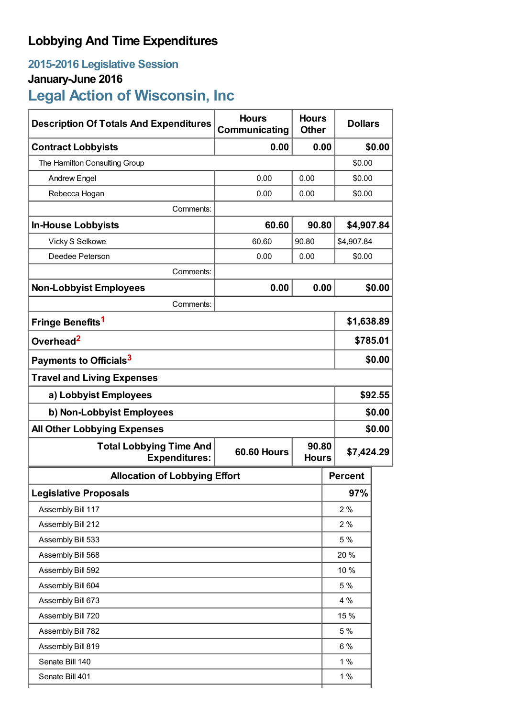## **Lobbying And Time Expenditures**

## **2015-2016 Legislative Session**

## **January-June 2016**

# **Legal Action of Wisconsin, Inc**

| <b>Description Of Totals And Expenditures</b>          | <b>Hours</b><br>Communicating               | <b>Hours</b><br><b>Other</b> | <b>Dollars</b> |            |  |
|--------------------------------------------------------|---------------------------------------------|------------------------------|----------------|------------|--|
| <b>Contract Lobbyists</b>                              | 0.00                                        | 0.00                         |                | \$0.00     |  |
| The Hamilton Consulting Group                          |                                             |                              | \$0.00         |            |  |
| <b>Andrew Engel</b>                                    | 0.00                                        | 0.00                         |                | \$0.00     |  |
| Rebecca Hogan                                          | 0.00                                        | 0.00                         | \$0.00         |            |  |
| Comments:                                              |                                             |                              |                |            |  |
| <b>In-House Lobbyists</b>                              | 60.60                                       | 90.80                        | \$4,907.84     |            |  |
| Vicky S Selkowe                                        | 60.60                                       | 90.80                        | \$4,907.84     |            |  |
| Deedee Peterson                                        | 0.00                                        | 0.00                         | \$0.00         |            |  |
| Comments:                                              |                                             |                              |                |            |  |
| <b>Non-Lobbyist Employees</b>                          | 0.00                                        | 0.00                         |                | \$0.00     |  |
| Comments:                                              |                                             |                              |                |            |  |
| Fringe Benefits <sup>1</sup>                           |                                             |                              |                | \$1,638.89 |  |
| Overhead <sup>2</sup>                                  |                                             |                              |                | \$785.01   |  |
| Payments to Officials <sup>3</sup>                     |                                             |                              |                | \$0.00     |  |
| <b>Travel and Living Expenses</b>                      |                                             |                              |                |            |  |
| a) Lobbyist Employees                                  |                                             |                              |                | \$92.55    |  |
| b) Non-Lobbyist Employees                              |                                             |                              |                | \$0.00     |  |
| <b>All Other Lobbying Expenses</b>                     |                                             |                              |                | \$0.00     |  |
| <b>Total Lobbying Time And</b><br><b>Expenditures:</b> | 90.80<br><b>60.60 Hours</b><br><b>Hours</b> |                              | \$7,424.29     |            |  |
| <b>Allocation of Lobbying Effort</b>                   |                                             |                              | <b>Percent</b> |            |  |
| <b>Legislative Proposals</b>                           |                                             |                              | 97%            |            |  |
| Assembly Bill 117                                      |                                             |                              | 2%             |            |  |
| Assembly Bill 212                                      |                                             |                              | 2%             |            |  |
| Assembly Bill 533                                      |                                             |                              | 5 %            |            |  |
| Assembly Bill 568                                      |                                             |                              | 20 %           |            |  |
| Assembly Bill 592                                      |                                             |                              | 10 %           |            |  |
| Assembly Bill 604                                      |                                             |                              | 5 %            |            |  |
| Assembly Bill 673                                      |                                             |                              | 4 %            |            |  |
| Assembly Bill 720                                      |                                             |                              | 15 %           |            |  |
| Assembly Bill 782                                      |                                             |                              | 5 %            |            |  |
| Assembly Bill 819                                      |                                             |                              | $6\%$          |            |  |
| Senate Bill 140                                        |                                             |                              | 1%             |            |  |
| Senate Bill 401                                        |                                             |                              | 1%             |            |  |